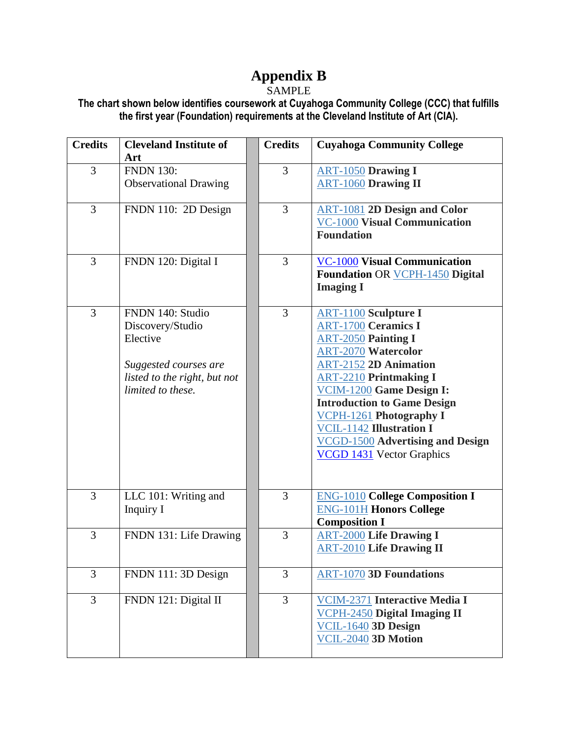## **Appendix B**

## **SAMPLE**

**The chart shown below identifies coursework at Cuyahoga Community College (CCC) that fulfills the first year (Foundation) requirements at the Cleveland Institute of Art (CIA).** 

| <b>Credits</b> | <b>Cleveland Institute of</b> | <b>Credits</b> | <b>Cuyahoga Community College</b>                          |
|----------------|-------------------------------|----------------|------------------------------------------------------------|
|                | Art                           |                |                                                            |
| 3              | <b>FNDN 130:</b>              | 3              | <b>ART-1050 Drawing I</b>                                  |
|                | <b>Observational Drawing</b>  |                | <b>ART-1060 Drawing II</b>                                 |
|                |                               |                |                                                            |
| 3              | FNDN 110: 2D Design           | $\overline{3}$ | <b>ART-1081 2D Design and Color</b>                        |
|                |                               |                | <b>VC-1000 Visual Communication</b><br><b>Foundation</b>   |
|                |                               |                |                                                            |
| 3              | FNDN 120: Digital I           | 3              | <b>VC-1000 Visual Communication</b>                        |
|                |                               |                | <b>Foundation OR VCPH-1450 Digital</b>                     |
|                |                               |                | <b>Imaging I</b>                                           |
|                |                               |                |                                                            |
| 3              | FNDN 140: Studio              | $\overline{3}$ | <b>ART-1100</b> Sculpture I                                |
|                | Discovery/Studio              |                | <b>ART-1700 Ceramics I</b>                                 |
|                | Elective                      |                | <b>ART-2050 Painting I</b>                                 |
|                |                               |                | <b>ART-2070 Watercolor</b>                                 |
|                | Suggested courses are         |                | <b>ART-2152 2D Animation</b>                               |
|                | listed to the right, but not  |                | <b>ART-2210 Printmaking I</b>                              |
|                | limited to these.             |                | VCIM-1200 Game Design I:                                   |
|                |                               |                | <b>Introduction to Game Design</b>                         |
|                |                               |                | VCPH-1261 Photography I<br><b>VCIL-1142 Illustration I</b> |
|                |                               |                | <b>VCGD-1500</b> Advertising and Design                    |
|                |                               |                | <b>VCGD 1431</b> Vector Graphics                           |
|                |                               |                |                                                            |
|                |                               |                |                                                            |
| 3              | LLC 101: Writing and          | 3              | <b>ENG-1010 College Composition I</b>                      |
|                | Inquiry I                     |                | <b>ENG-101H Honors College</b>                             |
|                |                               |                | <b>Composition I</b>                                       |
| 3              | FNDN 131: Life Drawing        | 3              | <b>ART-2000 Life Drawing I</b>                             |
|                |                               |                | <b>ART-2010 Life Drawing II</b>                            |
|                |                               |                |                                                            |
| 3              | FNDN 111: 3D Design           | 3              | <b>ART-1070 3D Foundations</b>                             |
|                |                               |                |                                                            |
| $\overline{3}$ | FNDN 121: Digital II          | $\overline{3}$ | <b>VCIM-2371 Interactive Media I</b>                       |
|                |                               |                | <b>VCPH-2450 Digital Imaging II</b>                        |
|                |                               |                | VCIL-1640 3D Design<br>VCIL-2040 3D Motion                 |
|                |                               |                |                                                            |